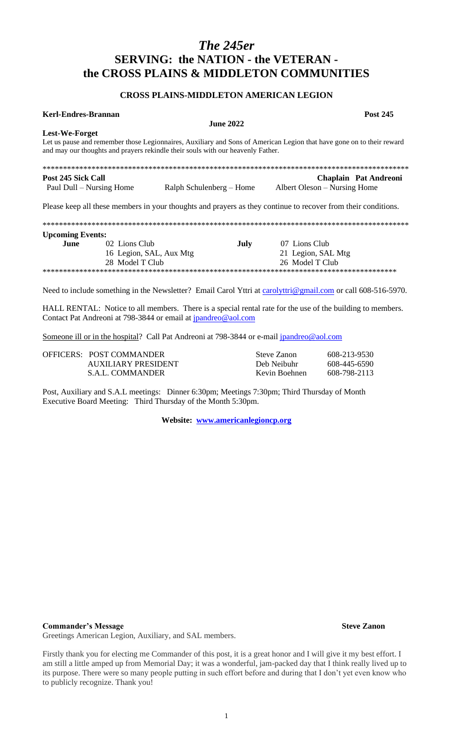# The 245er **SERVING: the NATION - the VETERAN** the CROSS PLAINS & MIDDLETON COMMUNITIES

## **CROSS PLAINS-MIDDLETON AMERICAN LEGION**

| Kerl-Endres-Brannan      |                                                                                                                                                                                                          |                          |                              | Post 245                     |
|--------------------------|----------------------------------------------------------------------------------------------------------------------------------------------------------------------------------------------------------|--------------------------|------------------------------|------------------------------|
|                          |                                                                                                                                                                                                          | <b>June 2022</b>         |                              |                              |
| Lest-We-Forget           |                                                                                                                                                                                                          |                          |                              |                              |
|                          | Let us pause and remember those Legionnaires, Auxiliary and Sons of American Legion that have gone on to their reward<br>and may our thoughts and prayers rekindle their souls with our heavenly Father. |                          |                              |                              |
|                          |                                                                                                                                                                                                          |                          |                              |                              |
| Post 245 Sick Call       |                                                                                                                                                                                                          |                          |                              | <b>Chaplain Pat Andreoni</b> |
| Paul Dull – Nursing Home |                                                                                                                                                                                                          | Ralph Schulenberg – Home | Albert Oleson – Nursing Home |                              |
|                          | Please keep all these members in your thoughts and prayers as they continue to recover from their conditions.                                                                                            |                          |                              |                              |
|                          |                                                                                                                                                                                                          |                          |                              |                              |
| <b>Upcoming Events:</b>  |                                                                                                                                                                                                          |                          |                              |                              |
| June                     | 02 Lions Club                                                                                                                                                                                            | July                     | 07 Lions Club                |                              |
|                          | 16 Legion, SAL, Aux Mtg                                                                                                                                                                                  |                          | 21 Legion, SAL Mtg           |                              |
|                          | 28 Model T Club                                                                                                                                                                                          |                          | 26 Model T Club              |                              |
|                          |                                                                                                                                                                                                          |                          |                              |                              |
|                          |                                                                                                                                                                                                          |                          |                              |                              |

Need to include something in the Newsletter? Email Carol Yttri at carolyttri@gmail.com or call 608-516-5970.

HALL RENTAL: Notice to all members. There is a special rental rate for the use of the building to members. Contact Pat Andreoni at 798-3844 or email at jpandreo@aol.com

Someone ill or in the hospital? Call Pat Andreoni at 798-3844 or e-mail jpandreo@aol.com

| OFFICERS: POST COMMANDER | Steve Zanon   | 608-213-9530 |
|--------------------------|---------------|--------------|
| AUXILIARY PRESIDENT      | Deb Neibuhr   | 608-445-6590 |
| S.A.L. COMMANDER         | Kevin Boehnen | 608-798-2113 |

Post, Auxiliary and S.A.L meetings: Dinner 6:30pm; Meetings 7:30pm; Third Thursday of Month Executive Board Meeting: Third Thursday of the Month 5:30pm.

Website: www.americanlegioncp.org

**Commander's Message** 

Greetings American Legion, Auxiliary, and SAL members.

Firstly thank you for electing me Commander of this post, it is a great honor and I will give it my best effort. I am still a little amped up from Memorial Day; it was a wonderful, jam-packed day that I think really lived up to its purpose. There were so many people putting in such effort before and during that I don't yet even know who to publicly recognize. Thank you!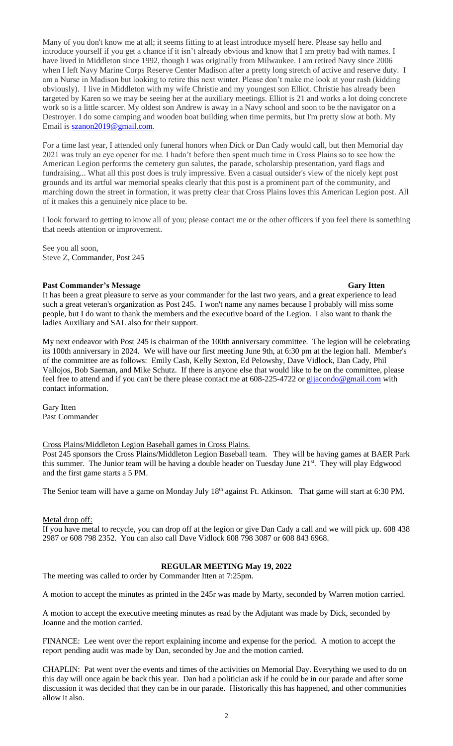Many of you don't know me at all; it seems fitting to at least introduce myself here. Please say hello and introduce yourself if you get a chance if it isn't already obvious and know that I am pretty bad with names. I have lived in Middleton since 1992, though I was originally from Milwaukee. I am retired Navy since 2006 when I left Navy Marine Corps Reserve Center Madison after a pretty long stretch of active and reserve duty. I am a Nurse in Madison but looking to retire this next winter. Please don't make me look at your rash (kidding obviously). I live in Middleton with my wife Christie and my youngest son Elliot. Christie has already been targeted by Karen so we may be seeing her at the auxiliary meetings. Elliot is 21 and works a lot doing concrete work so is a little scarcer. My oldest son Andrew is away in a Navy school and soon to be the navigator on a Destroyer. I do some camping and wooden boat building when time permits, but I'm pretty slow at both. My Email i[s szanon2019@gmail.com.](mailto:szanon2019@gmail.com)

For a time last year, I attended only funeral honors when Dick or Dan Cady would call, but then Memorial day 2021 was truly an eye opener for me. I hadn't before then spent much time in Cross Plains so to see how the American Legion performs the cemetery gun salutes, the parade, scholarship presentation, yard flags and fundraising... What all this post does is truly impressive. Even a casual outsider's view of the nicely kept post grounds and its artful war memorial speaks clearly that this post is a prominent part of the community, and marching down the street in formation, it was pretty clear that Cross Plains loves this American Legion post. All of it makes this a genuinely nice place to be.

I look forward to getting to know all of you; please contact me or the other officers if you feel there is something that needs attention or improvement.

See you all soon, Steve Z, Commander, Post 245

### **Past Commander's Message Gary Itten**

It has been a great pleasure to serve as your commander for the last two years, and a great experience to lead such a great veteran's organization as Post 245. I won't name any names because I probably will miss some people, but I do want to thank the members and the executive board of the Legion. I also want to thank the ladies Auxiliary and SAL also for their support.

My next endeavor with Post 245 is chairman of the 100th anniversary committee. The legion will be celebrating its 100th anniversary in 2024. We will have our first meeting June 9th, at 6:30 pm at the legion hall. Member's of the committee are as follows: Emily Cash, Kelly Sexton, Ed Pelowshy, Dave Vidlock, Dan Cady, Phil Vallojos, Bob Saeman, and Mike Schutz. If there is anyone else that would like to be on the committee, please feel free to attend and if you can't be there please contact me at 608-225-4722 or [gijacondo@gmail.com](mailto:gijacondo@gmail.com) with contact information.

Gary Itten Past Commander

Cross Plains/Middleton Legion Baseball games in Cross Plains.

Post 245 sponsors the Cross Plains/Middleton Legion Baseball team. They will be having games at BAER Park this summer. The Junior team will be having a double header on Tuesday June 21<sup>st</sup>. They will play Edgwood and the first game starts a 5 PM.

The Senior team will have a game on Monday July 18<sup>th</sup> against Ft. Atkinson. That game will start at 6:30 PM.

### Metal drop off:

If you have metal to recycle, you can drop off at the legion or give Dan Cady a call and we will pick up. 608 438 2987 or 608 798 2352. You can also call Dave Vidlock 608 798 3087 or 608 843 6968.

### **REGULAR MEETING May 19, 2022**

The meeting was called to order by Commander Itten at 7:25pm.

A motion to accept the minutes as printed in the 245r was made by Marty, seconded by Warren motion carried.

A motion to accept the executive meeting minutes as read by the Adjutant was made by Dick, seconded by Joanne and the motion carried.

FINANCE: Lee went over the report explaining income and expense for the period. A motion to accept the report pending audit was made by Dan, seconded by Joe and the motion carried.

CHAPLIN: Pat went over the events and times of the activities on Memorial Day. Everything we used to do on this day will once again be back this year. Dan had a politician ask if he could be in our parade and after some discussion it was decided that they can be in our parade. Historically this has happened, and other communities allow it also.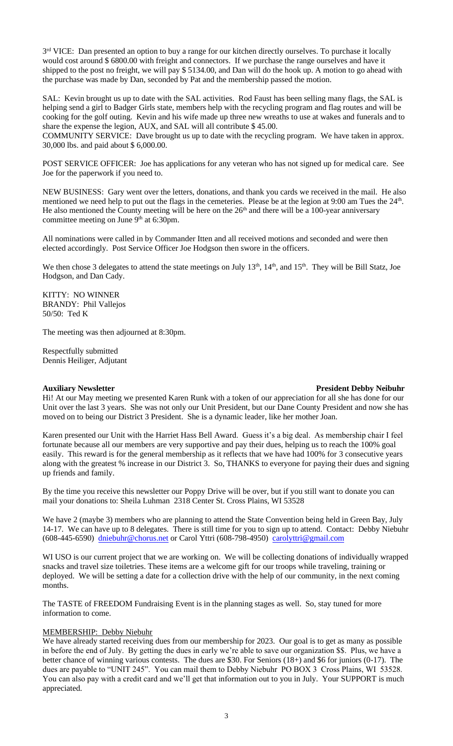3<sup>rd</sup> VICE: Dan presented an option to buy a range for our kitchen directly ourselves. To purchase it locally would cost around \$ 6800.00 with freight and connectors. If we purchase the range ourselves and have it shipped to the post no freight, we will pay \$ 5134.00, and Dan will do the hook up. A motion to go ahead with the purchase was made by Dan, seconded by Pat and the membership passed the motion.

SAL: Kevin brought us up to date with the SAL activities. Rod Faust has been selling many flags, the SAL is helping send a girl to Badger Girls state, members help with the recycling program and flag routes and will be cooking for the golf outing. Kevin and his wife made up three new wreaths to use at wakes and funerals and to share the expense the legion, AUX, and SAL will all contribute \$ 45.00.

COMMUNITY SERVICE: Dave brought us up to date with the recycling program. We have taken in approx. 30,000 lbs. and paid about \$ 6,000.00.

POST SERVICE OFFICER: Joe has applications for any veteran who has not signed up for medical care. See Joe for the paperwork if you need to.

NEW BUSINESS: Gary went over the letters, donations, and thank you cards we received in the mail. He also mentioned we need help to put out the flags in the cemeteries. Please be at the legion at 9:00 am Tues the 24<sup>th</sup>. He also mentioned the County meeting will be here on the  $26<sup>th</sup>$  and there will be a 100-year anniversary committee meeting on June 9<sup>th</sup> at 6:30pm.

All nominations were called in by Commander Itten and all received motions and seconded and were then elected accordingly. Post Service Officer Joe Hodgson then swore in the officers.

We then chose 3 delegates to attend the state meetings on July 13<sup>th</sup>, 14<sup>th</sup>, and 15<sup>th</sup>. They will be Bill Statz, Joe Hodgson, and Dan Cady.

KITTY: NO WINNER BRANDY: Phil Vallejos 50/50: Ted K

The meeting was then adjourned at 8:30pm.

Respectfully submitted Dennis Heiliger, Adjutant

### **Auxiliary Newsletter President Debby Neibuhr**

Hi! At our May meeting we presented Karen Runk with a token of our appreciation for all she has done for our Unit over the last 3 years. She was not only our Unit President, but our Dane County President and now she has moved on to being our District 3 President. She is a dynamic leader, like her mother Joan.

Karen presented our Unit with the Harriet Hass Bell Award. Guess it's a big deal. As membership chair I feel fortunate because all our members are very supportive and pay their dues, helping us to reach the 100% goal easily. This reward is for the general membership as it reflects that we have had 100% for 3 consecutive years along with the greatest % increase in our District 3. So, THANKS to everyone for paying their dues and signing up friends and family.

By the time you receive this newsletter our Poppy Drive will be over, but if you still want to donate you can mail your donations to: Sheila Luhman 2318 Center St. Cross Plains, WI 53528

We have 2 (maybe 3) members who are planning to attend the State Convention being held in Green Bay, July 14-17. We can have up to 8 delegates. There is still time for you to sign up to attend. Contact: Debby Niebuhr (608-445-6590) [dniebuhr@chorus.net](mailto:dniebuhr@chorus.net) or Carol Yttri (608-798-4950) [carolyttri@gmail.com](mailto:carolyttri@gmail.com)

WI USO is our current project that we are working on. We will be collecting donations of individually wrapped snacks and travel size toiletries. These items are a welcome gift for our troops while traveling, training or deployed. We will be setting a date for a collection drive with the help of our community, in the next coming months.

The TASTE of FREEDOM Fundraising Event is in the planning stages as well. So, stay tuned for more information to come.

### MEMBERSHIP: Debby Niebuhr

We have already started receiving dues from our membership for 2023. Our goal is to get as many as possible in before the end of July. By getting the dues in early we're able to save our organization \$\$. Plus, we have a better chance of winning various contests. The dues are \$30. For Seniors (18+) and \$6 for juniors (0-17). The dues are payable to "UNIT 245". You can mail them to Debby Niebuhr PO BOX 3 Cross Plains, WI 53528. You can also pay with a credit card and we'll get that information out to you in July. Your SUPPORT is much appreciated.